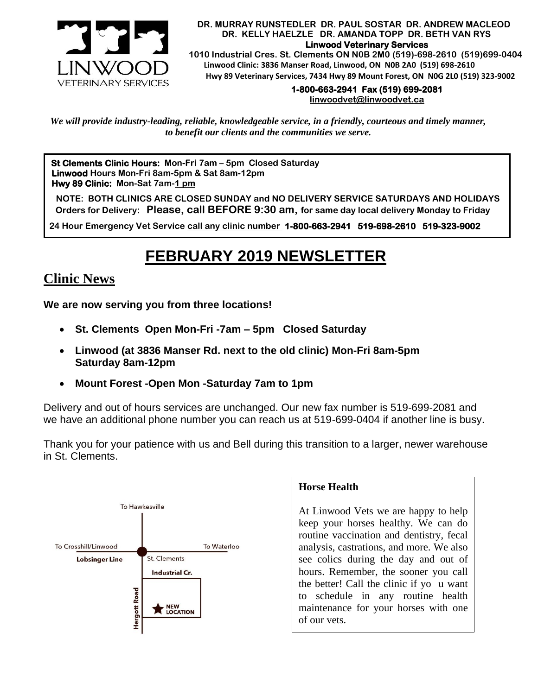

#### **DR. MURRAY RUNSTEDLER DR. PAUL SOSTAR DR. ANDREW MACLEOD DR. KELLY HAELZLE DR. AMANDA TOPP DR. BETH VAN RYS Linwood Veterinary Services**

 **1010 Industrial Cres. St. Clements ON N0B 2M0 (519)-698-2610 (519)699-0404 Linwood Clinic: 3836 Manser Road, Linwood, ON N0B 2A0 (519) 698-2610 Hwy 89 Veterinary Services, 7434 Hwy 89 Mount Forest, ON N0G 2L0 (519) 323-9002**

### **1-800-663-2941 Fax (519) 699-2081**

**[linwoodvet@linwoodvet.ca](mailto:linwoodvet@linwoodvet.ca)**

*We will provide industry-leading, reliable, knowledgeable service, in a friendly, courteous and timely manner, to benefit our clients and the communities we serve.*

**St Clements Clinic Hours: Mon-Fri 7am – 5pm Closed Saturday Linwood Hours Mon-Fri 8am-5pm & Sat 8am-12pm Hwy 89 Clinic: Mon-Sat 7am-1 pm**

 **NOTE: BOTH CLINICS ARE CLOSED SUNDAY and NO DELIVERY SERVICE SATURDAYS AND HOLIDAYS Orders for Delivery: Please, call BEFORE 9:30 am, for same day local delivery Monday to Friday** 

 **24 Hour Emergency Vet Service call any clinic number 1-800-663-2941 519-698-2610 519-323-9002**

# **FEBRUARY 2019 NEWSLETTER**

## **Clinic News**

**We are now serving you from three locations!**

- **St. Clements Open Mon-Fri -7am – 5pm Closed Saturday**
- **Linwood (at 3836 Manser Rd. next to the old clinic) Mon-Fri 8am-5pm Saturday 8am-12pm**
- **Mount Forest -Open Mon -Saturday 7am to 1pm**

Delivery and out of hours services are unchanged. Our new fax number is 519-699-2081 and we have an additional phone number you can reach us at 519-699-0404 if another line is busy.

Thank you for your patience with us and Bell during this transition to a larger, newer warehouse in St. Clements.



#### **Horse Health**

At Linwood Vets we are happy to help keep your horses healthy. We can do routine vaccination and dentistry, fecal analysis, castrations, and more. We also see colics during the day and out of hours. Remember, the sooner you call the better! Call the clinic if yo u want to schedule in any routine health maintenance for your horses with one of our vets.